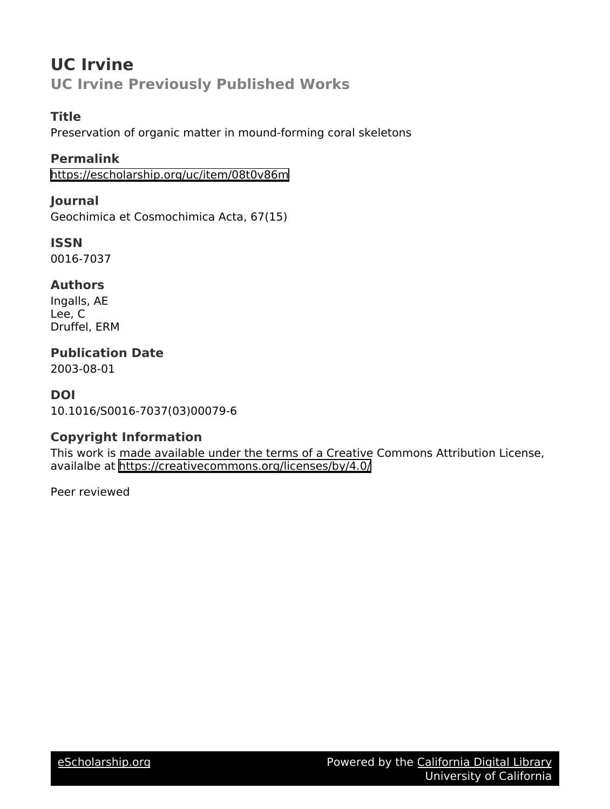# **UC Irvine UC Irvine Previously Published Works**

## **Title**

Preservation of organic matter in mound-forming coral skeletons

## **Permalink**

<https://escholarship.org/uc/item/08t0v86m>

## **Journal**

Geochimica et Cosmochimica Acta, 67(15)

**ISSN** 0016-7037

## **Authors**

Ingalls, AE Lee, C Druffel, ERM

# **Publication Date**

2003-08-01

## **DOI**

10.1016/S0016-7037(03)00079-6

## **Copyright Information**

This work is made available under the terms of a Creative Commons Attribution License, availalbe at <https://creativecommons.org/licenses/by/4.0/>

Peer reviewed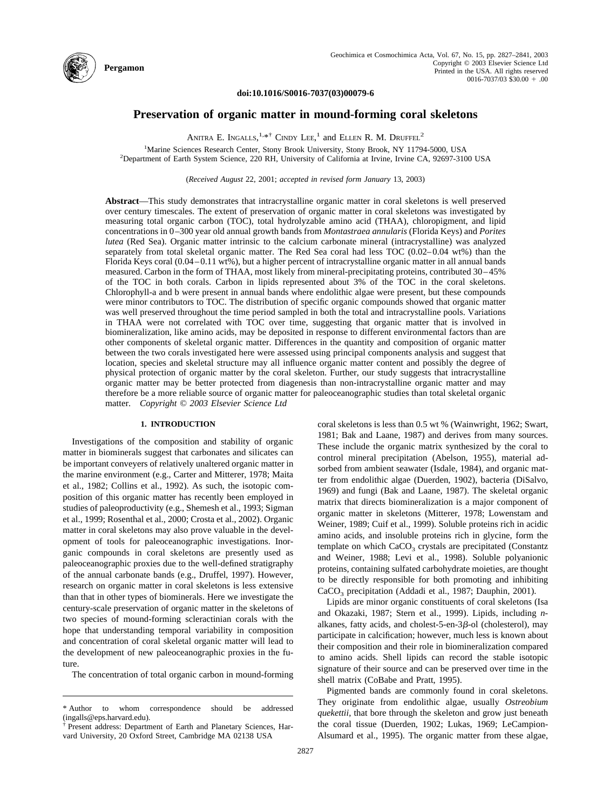

#### **doi:10.1016/S0016-7037(03)00079-6**

## **Preservation of organic matter in mound-forming coral skeletons**

ANITRA E. INGALLS,  $1.*$  CINDY LEE,  $1$  and Ellen R. M. Druffel<sup>2</sup>

<sup>1</sup>Marine Sciences Research Center, Stony Brook University, Stony Brook, NY 11794-5000, USA<br><sup>2</sup>Department of Earth System Science, 220 PH University of California at Irvine United CA 92697.310 <sup>2</sup>Department of Earth System Science, 220 RH, University of California at Irvine, Irvine CA, 92697-3100 USA

(*Received August* 22, 2001; *accepted in revised form January* 13, 2003)

**Abstract**—This study demonstrates that intracrystalline organic matter in coral skeletons is well preserved over century timescales. The extent of preservation of organic matter in coral skeletons was investigated by measuring total organic carbon (TOC), total hydrolyzable amino acid (THAA), chloropigment, and lipid concentrations in 0–300 year old annual growth bands from *Montastraea annularis* (Florida Keys) and *Porites lutea* (Red Sea). Organic matter intrinsic to the calcium carbonate mineral (intracrystalline) was analyzed separately from total skeletal organic matter. The Red Sea coral had less TOC (0.02–0.04 wt%) than the Florida Keys coral (0.04–0.11 wt%), but a higher percent of intracrystalline organic matter in all annual bands measured. Carbon in the form of THAA, most likely from mineral-precipitating proteins, contributed 30–45% of the TOC in both corals. Carbon in lipids represented about 3% of the TOC in the coral skeletons. Chlorophyll-a and b were present in annual bands where endolithic algae were present, but these compounds were minor contributors to TOC. The distribution of specific organic compounds showed that organic matter was well preserved throughout the time period sampled in both the total and intracrystalline pools. Variations in THAA were not correlated with TOC over time, suggesting that organic matter that is involved in biomineralization, like amino acids, may be deposited in response to different environmental factors than are other components of skeletal organic matter. Differences in the quantity and composition of organic matter between the two corals investigated here were assessed using principal components analysis and suggest that location, species and skeletal structure may all influence organic matter content and possibly the degree of physical protection of organic matter by the coral skeleton. Further, our study suggests that intracrystalline organic matter may be better protected from diagenesis than non-intracrystalline organic matter and may therefore be a more reliable source of organic matter for paleoceanographic studies than total skeletal organic matter. *Copyright © 2003 Elsevier Science Ltd*

### **1. INTRODUCTION**

Investigations of the composition and stability of organic matter in biominerals suggest that carbonates and silicates can be important conveyers of relatively unaltered organic matter in the marine environment (e.g., [Carter and Mitterer, 1978; Maita](#page-14-0) [et al., 1982; Collins et al., 1992\).](#page-14-0) As such, the isotopic composition of this organic matter has recently been employed in studies of paleoproductivity (e.g., [Shemesh et al., 1993; Sigman](#page-15-0) [et al., 1999; Rosenthal et al., 2000; Crosta et al., 2002\).](#page-15-0) Organic matter in coral skeletons may also prove valuable in the development of tools for paleoceanographic investigations. Inorganic compounds in coral skeletons are presently used as paleoceanographic proxies due to the well-defined stratigraphy of the annual carbonate bands (e.g., [Druffel, 1997\).](#page-14-0) However, research on organic matter in coral skeletons is less extensive than that in other types of biominerals. Here we investigate the century-scale preservation of organic matter in the skeletons of two species of mound-forming scleractinian corals with the hope that understanding temporal variability in composition and concentration of coral skeletal organic matter will lead to the development of new paleoceanographic proxies in the future.

The concentration of total organic carbon in mound-forming

coral skeletons is less than 0.5 wt % [\(Wainwright, 1962; Swart,](#page-15-0) [1981; Bak and Laane, 1987\)](#page-15-0) and derives from many sources. These include the organic matrix synthesized by the coral to control mineral precipitation [\(Abelson, 1955\),](#page-13-0) material adsorbed from ambient seawater [\(Isdale, 1984\),](#page-14-0) and organic matter from endolithic algae [\(Duerden, 1902\),](#page-14-0) bacteria [\(DiSalvo,](#page-14-0) [1969\)](#page-14-0) and fungi [\(Bak and Laane, 1987\).](#page-13-0) The skeletal organic matrix that directs biomineralization is a major component of organic matter in skeletons [\(Mitterer, 1978; Lowenstam and](#page-15-0) [Weiner, 1989; Cuif et al., 1999\).](#page-15-0) Soluble proteins rich in acidic amino acids, and insoluble proteins rich in glycine, form the template on which  $CaCO<sub>3</sub>$  crystals are precipitated [\(Constantz](#page-14-0) [and Weiner, 1988; Levi et al., 1998\).](#page-14-0) Soluble polyanionic proteins, containing sulfated carbohydrate moieties, are thought to be directly responsible for both promoting and inhibiting CaCO<sub>3</sub> precipitation [\(Addadi et al., 1987; Dauphin, 2001\).](#page-13-0)

Lipids are minor organic constituents of coral skeletons [\(Isa](#page-14-0) [and Okazaki, 1987; Stern et al., 1999\).](#page-14-0) Lipids, including *n*alkanes, fatty acids, and cholest-5-en-3 $\beta$ -ol (cholesterol), may participate in calcification; however, much less is known about their composition and their role in biomineralization compared to amino acids. Shell lipids can record the stable isotopic signature of their source and can be preserved over time in the shell matrix [\(CoBabe and Pratt, 1995\).](#page-14-0)

Pigmented bands are commonly found in coral skeletons. They originate from endolithic algae, usually *Ostreobium quekettii*, that bore through the skeleton and grow just beneath the coral tissue [\(Duerden, 1902; Lukas, 1969; LeCampion-](#page-14-0)[Alsumard et al., 1995\).](#page-14-0) The organic matter from these algae,

<sup>\*</sup> Author to whom correspondence should be addressed (ingalls@eps.harvard.edu).

<sup>†</sup> Present address: Department of Earth and Planetary Sciences, Harvard University, 20 Oxford Street, Cambridge MA 02138 USA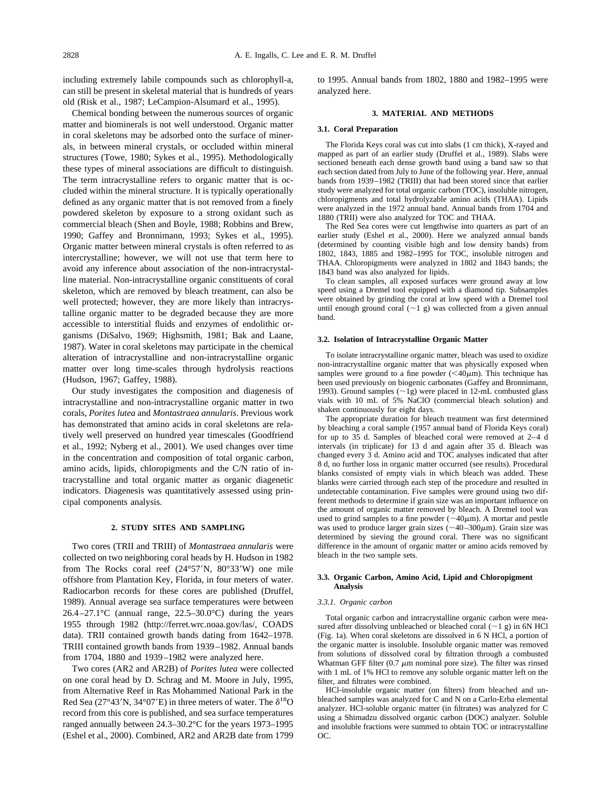including extremely labile compounds such as chlorophyll-a, can still be present in skeletal material that is hundreds of years old [\(Risk et al., 1987; LeCampion-Alsumard et al., 1995\).](#page-15-0)

Chemical bonding between the numerous sources of organic matter and biominerals is not well understood. Organic matter in coral skeletons may be adsorbed onto the surface of minerals, in between mineral crystals, or occluded within mineral structures [\(Towe, 1980; Sykes et al., 1995\).](#page-15-0) Methodologically these types of mineral associations are difficult to distinguish. The term intracrystalline refers to organic matter that is occluded within the mineral structure. It is typically operationally defined as any organic matter that is not removed from a finely powdered skeleton by exposure to a strong oxidant such as commercial bleach [\(Shen and Boyle, 1988; Robbins and Brew,](#page-15-0) [1990; Gaffey and Bronnimann, 1993; Sykes et al., 1995\).](#page-15-0) Organic matter between mineral crystals is often referred to as intercrystalline; however, we will not use that term here to avoid any inference about association of the non-intracrystalline material. Non-intracrystalline organic constituents of coral skeleton, which are removed by bleach treatment, can also be well protected; however, they are more likely than intracrystalline organic matter to be degraded because they are more accessible to interstitial fluids and enzymes of endolithic organisms [\(DiSalvo, 1969; Highsmith, 1981; Bak and Laane,](#page-14-0) [1987\).](#page-14-0) Water in coral skeletons may participate in the chemical alteration of intracrystalline and non-intracrystalline organic matter over long time-scales through hydrolysis reactions [\(Hudson, 1967; Gaffey, 1988\).](#page-14-0)

Our study investigates the composition and diagenesis of intracrystalline and non-intracrystalline organic matter in two corals, *Porites lutea* and *Montastraea annularis*. Previous work has demonstrated that amino acids in coral skeletons are relatively well preserved on hundred year timescales [\(Goodfriend](#page-14-0) [et al., 1992; Nyberg et al., 2001\).](#page-14-0) We used changes over time in the concentration and composition of total organic carbon, amino acids, lipids, chloropigments and the C/N ratio of intracrystalline and total organic matter as organic diagenetic indicators. Diagenesis was quantitatively assessed using principal components analysis.

## **2. STUDY SITES AND SAMPLING**

Two cores (TRII and TRIII) of *Montastraea annularis* were collected on two neighboring coral heads by H. Hudson in 1982 from The Rocks coral reef (24°57'N, 80°33'W) one mile offshore from Plantation Key, Florida, in four meters of water. Radiocarbon records for these cores are published [\(Druffel,](#page-14-0) [1989\).](#page-14-0) Annual average sea surface temperatures were between  $26.4 - 27.1$ °C (annual range,  $22.5 - 30.0$ °C) during the years 1955 through 1982 (http://ferret.wrc.noaa.gov/las/, COADS data). TRII contained growth bands dating from 1642–1978. TRIII contained growth bands from 1939–1982. Annual bands from 1704, 1880 and 1939–1982 were analyzed here.

Two cores (AR2 and AR2B) of *Porites lutea* were collected on one coral head by D. Schrag and M. Moore in July, 1995, from Alternative Reef in Ras Mohammed National Park in the Red Sea (27°43'N, 34°07'E) in three meters of water. The  $\delta^{18}O$ record from this core is published, and sea surface temperatures ranged annually between 24.3–30.2°C for the years 1973–1995 [\(Eshel et al., 2000\).](#page-14-0) Combined, AR2 and AR2B date from 1799 to 1995. Annual bands from 1802, 1880 and 1982–1995 were analyzed here.

#### **3. MATERIAL AND METHODS**

#### **3.1. Coral Preparation**

The Florida Keys coral was cut into slabs (1 cm thick), X-rayed and mapped as part of an earlier study [\(Druffel et al., 1989\).](#page-14-0) Slabs were sectioned beneath each dense growth band using a band saw so that each section dated from July to June of the following year. Here, annual bands from 1939–1982 (TRIII) that had been stored since that earlier study were analyzed for total organic carbon (TOC), insoluble nitrogen, chloropigments and total hydrolyzable amino acids (THAA). Lipids were analyzed in the 1972 annual band. Annual bands from 1704 and 1880 (TRII) were also analyzed for TOC and THAA.

The Red Sea cores were cut lengthwise into quarters as part of an earlier study [\(Eshel et al., 2000\).](#page-14-0) Here we analyzed annual bands (determined by counting visible high and low density bands) from 1802, 1843, 1885 and 1982–1995 for TOC, insoluble nitrogen and THAA. Chloropigments were analyzed in 1802 and 1843 bands; the 1843 band was also analyzed for lipids.

To clean samples, all exposed surfaces were ground away at low speed using a Dremel tool equipped with a diamond tip. Subsamples were obtained by grinding the coral at low speed with a Dremel tool until enough ground coral  $(\sim 1$  g) was collected from a given annual band.

#### **3.2. Isolation of Intracrystalline Organic Matter**

To isolate intracrystalline organic matter, bleach was used to oxidize non-intracrystalline organic matter that was physically exposed when samples were ground to a fine powder  $( $40\mu$ m). This technique has$ been used previously on biogenic carbonates [\(Gaffey and Bronnimann,](#page-14-0) [1993\).](#page-14-0) Ground samples  $(\sim 1g)$  were placed in 12-mL combusted glass vials with 10 mL of 5% NaClO (commercial bleach solution) and shaken continuously for eight days.

The appropriate duration for bleach treatment was first determined by bleaching a coral sample (1957 annual band of Florida Keys coral) for up to 35 d. Samples of bleached coral were removed at 2–4 d intervals (in triplicate) for 13 d and again after 35 d. Bleach was changed every  $\overline{3}$  d. Amino acid and TOC analyses indicated that after 8 d, no further loss in organic matter occurred (see results). Procedural blanks consisted of empty vials in which bleach was added. These blanks were carried through each step of the procedure and resulted in undetectable contamination. Five samples were ground using two different methods to determine if grain size was an important influence on the amount of organic matter removed by bleach. A Dremel tool was used to grind samples to a fine powder ( $\sim$ 40 $\mu$ m). A mortar and pestle was used to produce larger grain sizes ( $\sim$ 40–300 $\mu$ m). Grain size was determined by sieving the ground coral. There was no significant difference in the amount of organic matter or amino acids removed by bleach in the two sample sets.

#### **3.3. Organic Carbon, Amino Acid, Lipid and Chloropigment Analysis**

#### *3.3.1. Organic carbon*

Total organic carbon and intracrystalline organic carbon were measured after dissolving unbleached or bleached coral  $(\sim 1 \text{ g})$  in 6N HCl [\(Fig. 1a\)](#page-3-0). When coral skeletons are dissolved in 6 N HCl, a portion of the organic matter is insoluble. Insoluble organic matter was removed from solutions of dissolved coral by filtration through a combusted Whatman GFF filter (0.7  $\mu$ m nominal pore size). The filter was rinsed with 1 mL of 1% HCl to remove any soluble organic matter left on the filter, and filtrates were combined.

HCl-insoluble organic matter (on filters) from bleached and unbleached samples was analyzed for C and N on a Carlo-Erba elemental analyzer. HCl-soluble organic matter (in filtrates) was analyzed for C using a Shimadzu dissolved organic carbon (DOC) analyzer. Soluble and insoluble fractions were summed to obtain TOC or intracrystalline OC.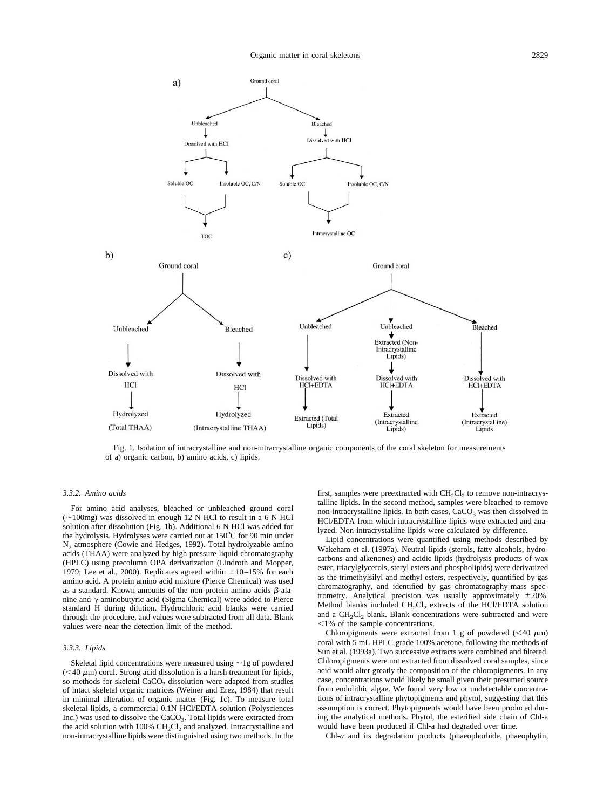<span id="page-3-0"></span>

Fig. 1. Isolation of intracrystalline and non-intracrystalline organic components of the coral skeleton for measurements of a) organic carbon, b) amino acids, c) lipids.

#### *3.3.2. Amino acids*

For amino acid analyses, bleached or unbleached ground coral  $(-100mg)$  was dissolved in enough 12 N HCl to result in a 6 N HCl solution after dissolution (Fig. 1b). Additional 6 N HCl was added for the hydrolysis. Hydrolyses were carried out at 150°C for 90 min under  $N_2$  atmosphere [\(Cowie and Hedges, 1992\).](#page-14-0) Total hydrolyzable amino acids (THAA) were analyzed by high pressure liquid chromatography (HPLC) using precolumn OPA derivatization [\(Lindroth and Mopper,](#page-14-0) [1979; Lee et al., 2000\).](#page-14-0) Replicates agreed within  $\pm 10-15$ % for each amino acid. A protein amino acid mixture (Pierce Chemical) was used as a standard. Known amounts of the non-protein amino acids  $\beta$ -alanine and  $\gamma$ -aminobutyric acid (Sigma Chemical) were added to Pierce standard H during dilution. Hydrochloric acid blanks were carried through the procedure, and values were subtracted from all data. Blank values were near the detection limit of the method.

#### *3.3.3. Lipids*

Skeletal lipid concentrations were measured using  $\sim$  1g of powdered  $(<$  40  $\mu$ m) coral. Strong acid dissolution is a harsh treatment for lipids, so methods for skeletal  $CaCO<sub>3</sub>$  dissolution were adapted from studies of intact skeletal organic matrices [\(Weiner and Erez, 1984\)](#page-15-0) that result in minimal alteration of organic matter (Fig. 1c). To measure total skeletal lipids, a commercial 0.1N HCl/EDTA solution (Polysciences Inc.) was used to dissolve the CaCO<sub>3</sub>. Total lipids were extracted from the acid solution with 100%  $CH_2Cl_2$  and analyzed. Intracrystalline and non-intracrystalline lipids were distinguished using two methods. In the

first, samples were preextracted with  $CH_2Cl_2$  to remove non-intracrystalline lipids. In the second method, samples were bleached to remove non-intracrystalline lipids. In both cases,  $CaCO<sub>3</sub>$  was then dissolved in HCl/EDTA from which intracrystalline lipids were extracted and analyzed. Non-intracrystalline lipids were calculated by difference.

Lipid concentrations were quantified using methods described by [Wakeham et al. \(1997a\).](#page-15-0) Neutral lipids (sterols, fatty alcohols, hydrocarbons and alkenones) and acidic lipids (hydrolysis products of wax ester, triacylglycerols, steryl esters and phospholipids) were derivatized as the trimethylsilyl and methyl esters, respectively, quantified by gas chromatography, and identified by gas chromatography-mass spectrometry. Analytical precision was usually approximately  $\pm 20\%$ . Method blanks included  $CH_2Cl_2$  extracts of the HCl/EDTA solution and a  $CH<sub>2</sub>Cl<sub>2</sub>$  blank. Blank concentrations were subtracted and were  $1\%$  of the sample concentrations.

Chloropigments were extracted from 1 g of powdered  $(< 40 \mu m)$ coral with 5 mL HPLC-grade 100% acetone, following the methods of [Sun et al. \(1993a\).](#page-15-0) Two successive extracts were combined and filtered. Chloropigments were not extracted from dissolved coral samples, since acid would alter greatly the composition of the chloropigments. In any case, concentrations would likely be small given their presumed source from endolithic algae. We found very low or undetectable concentrations of intracrystalline phytopigments and phytol, suggesting that this assumption is correct. Phytopigments would have been produced during the analytical methods. Phytol, the esterified side chain of Chl-a would have been produced if Chl-a had degraded over time.

Chl-*a* and its degradation products (phaeophorbide, phaeophytin,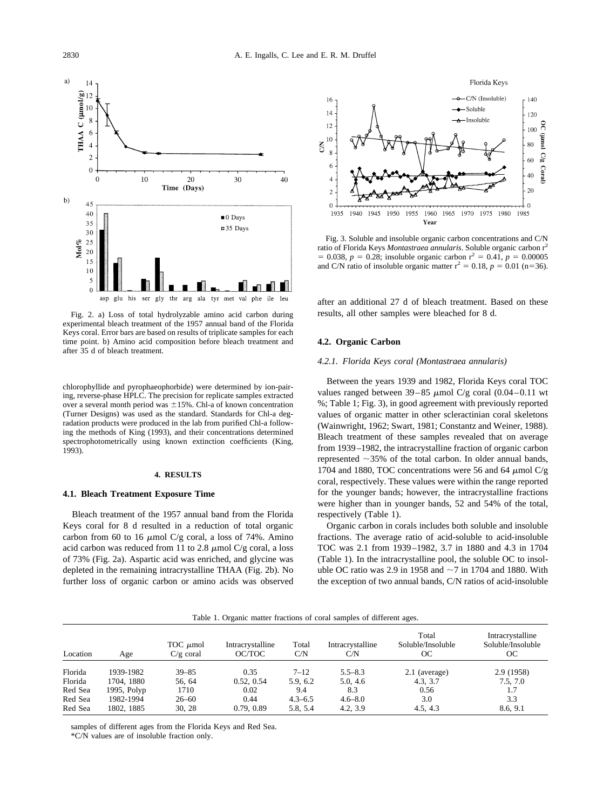<span id="page-4-0"></span>

Fig. 2. a) Loss of total hydrolyzable amino acid carbon during experimental bleach treatment of the 1957 annual band of the Florida Keys coral. Error bars are based on results of triplicate samples for each time point. b) Amino acid composition before bleach treatment and after 35 d of bleach treatment.

chlorophyllide and pyrophaeophorbide) were determined by ion-pairing, reverse-phase HPLC. The precision for replicate samples extracted over a several month period was  $\pm 15$ %. Chl-a of known concentration (Turner Designs) was used as the standard. Standards for Chl-a degradation products were produced in the lab from purified Chl-a following the methods of [King \(1993\),](#page-14-0) and their concentrations determined spectrophotometrically using known extinction coefficients [\(King,](#page-14-0) [1993\).](#page-14-0)

#### **4. RESULTS**

#### **4.1. Bleach Treatment Exposure Time**

Bleach treatment of the 1957 annual band from the Florida Keys coral for 8 d resulted in a reduction of total organic carbon from 60 to 16  $\mu$ mol C/g coral, a loss of 74%. Amino acid carbon was reduced from 11 to 2.8  $\mu$ mol C/g coral, a loss of 73% (Fig. 2a). Aspartic acid was enriched, and glycine was depleted in the remaining intracrystalline THAA (Fig. 2b). No further loss of organic carbon or amino acids was observed



Fig. 3. Soluble and insoluble organic carbon concentrations and C/N ratio of Florida Keys *Montastraea annularis*. Soluble organic carbon r2  $= 0.038, p = 0.28$ ; insoluble organic carbon  $r^2 = 0.41, p = 0.00005$ and C/N ratio of insoluble organic matter  $r^2 = 0.18$ ,  $p = 0.01$  (n=36).

after an additional 27 d of bleach treatment. Based on these results, all other samples were bleached for 8 d.

#### **4.2. Organic Carbon**

#### *4.2.1. Florida Keys coral (Montastraea annularis)*

Between the years 1939 and 1982, Florida Keys coral TOC values ranged between  $39-85 \mu$ mol C/g coral (0.04–0.11 wt %; Table 1; Fig. 3), in good agreement with previously reported values of organic matter in other scleractinian coral skeletons [\(Wainwright, 1962; Swart, 1981; Constantz and Weiner, 1988\).](#page-15-0) Bleach treatment of these samples revealed that on average from 1939–1982, the intracrystalline fraction of organic carbon represented  $\sim$ 35% of the total carbon. In older annual bands, 1704 and 1880, TOC concentrations were 56 and 64  $\mu$ mol C/g coral, respectively. These values were within the range reported for the younger bands; however, the intracrystalline fractions were higher than in younger bands, 52 and 54% of the total, respectively (Table 1).

Organic carbon in corals includes both soluble and insoluble fractions. The average ratio of acid-soluble to acid-insoluble TOC was 2.1 from 1939–1982, 3.7 in 1880 and 4.3 in 1704 (Table 1). In the intracrystalline pool, the soluble OC to insoluble OC ratio was 2.9 in 1958 and  $\sim$ 7 in 1704 and 1880. With the exception of two annual bands, C/N ratios of acid-insoluble

| Table 1. Organic matter fractions of coral samples of different ages. |  |  |  |  |  |  |  |  |  |
|-----------------------------------------------------------------------|--|--|--|--|--|--|--|--|--|
|-----------------------------------------------------------------------|--|--|--|--|--|--|--|--|--|

| Location | Age         | TOC $\mu$ mol<br>$C/g$ coral | Intracrystalline<br>OC/TOC | Total<br>C/N | Intracrystalline<br>C/N | Total<br>Soluble/Insoluble<br>OС | Intracrystalline<br>Soluble/Insoluble<br>OС |
|----------|-------------|------------------------------|----------------------------|--------------|-------------------------|----------------------------------|---------------------------------------------|
| Florida  | 1939-1982   | $39 - 85$                    | 0.35                       | $7 - 12$     | $5.5 - 8.3$             | 2.1 (average)                    | 2.9 (1958)                                  |
| Florida  | 1704, 1880  | 56.64                        | 0.52, 0.54                 | 5.9.6.2      | 5.0, 4.6                | 4.3, 3.7                         | 7.5, 7.0                                    |
| Red Sea  | 1995, Polyp | 1710                         | 0.02                       | 9.4          | 8.3                     | 0.56                             | 1.7                                         |
| Red Sea  | 1982-1994   | $26 - 60$                    | 0.44                       | $4.3 - 6.5$  | $4.6 - 8.0$             | 3.0                              | 3.3                                         |
| Red Sea  | 1802, 1885  | 30.28                        | 0.79, 0.89                 | 5.8.5.4      | 4.2, 3.9                | 4.5.4.3                          | 8.6.9.1                                     |

samples of different ages from the Florida Keys and Red Sea.

\*C/N values are of insoluble fraction only.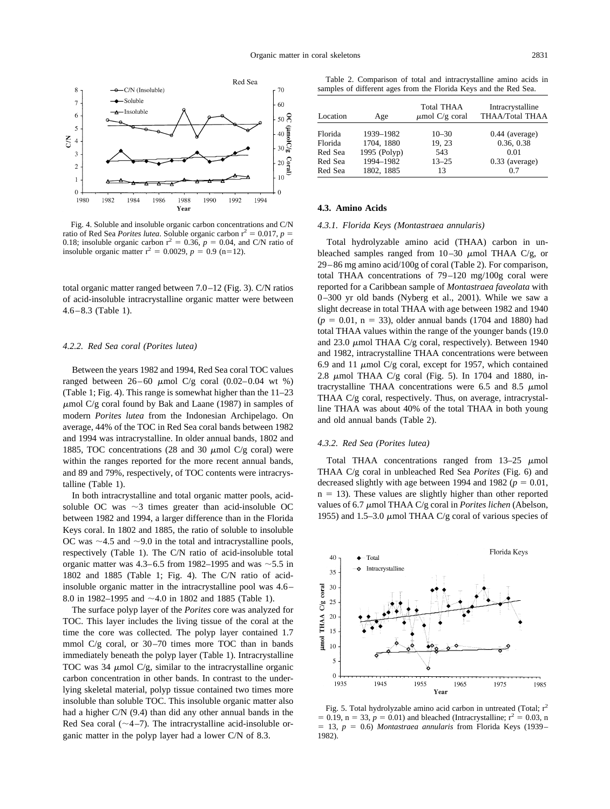<span id="page-5-0"></span>

Fig. 4. Soluble and insoluble organic carbon concentrations and C/N ratio of Red Sea *Porites lutea*. Soluble organic carbon  $r^2 = 0.017$ ,  $p =$ 0.18; insoluble organic carbon  $r^2 = 0.36$ ,  $p = 0.04$ , and C/N ratio of insoluble organic matter  $r^2 = 0.0029$ ,  $p = 0.9$  (n=12).

total organic matter ranged between 7.0–12 [\(Fig. 3\)](#page-4-0). C/N ratios of acid-insoluble intracrystalline organic matter were between 4.6–8.3 [\(Table 1\)](#page-4-0).

#### *4.2.2. Red Sea coral (Porites lutea)*

Between the years 1982 and 1994, Red Sea coral TOC values ranged between  $26-60 \mu$ mol C/g coral  $(0.02-0.04 \text{ wt } \%)$ [\(Table 1;](#page-4-0) Fig. 4). This range is somewhat higher than the 11–23  $\mu$ mol C/g coral found by [Bak and Laane \(1987\)](#page-13-0) in samples of modern *Porites lutea* from the Indonesian Archipelago. On average, 44% of the TOC in Red Sea coral bands between 1982 and 1994 was intracrystalline. In older annual bands, 1802 and 1885, TOC concentrations (28 and 30  $\mu$ mol C/g coral) were within the ranges reported for the more recent annual bands, and 89 and 79%, respectively, of TOC contents were intracrystalline [\(Table 1\)](#page-4-0).

In both intracrystalline and total organic matter pools, acidsoluble OC was  $\sim$ 3 times greater than acid-insoluble OC between 1982 and 1994, a larger difference than in the Florida Keys coral. In 1802 and 1885, the ratio of soluble to insoluble OC was  $\sim$  4.5 and  $\sim$  9.0 in the total and intracrystalline pools, respectively [\(Table 1\)](#page-4-0). The C/N ratio of acid-insoluble total organic matter was  $4.3-6.5$  from 1982–1995 and was  $\sim$ 5.5 in 1802 and 1885 [\(Table 1;](#page-4-0) Fig. 4). The C/N ratio of acidinsoluble organic matter in the intracrystalline pool was 4.6– 8.0 in 1982–1995 and  $\sim$  4.0 in 1802 and 1885 [\(Table 1\)](#page-4-0).

The surface polyp layer of the *Porites* core was analyzed for TOC. This layer includes the living tissue of the coral at the time the core was collected. The polyp layer contained 1.7 mmol  $C/g$  coral, or 30–70 times more TOC than in bands immediately beneath the polyp layer [\(Table 1\)](#page-4-0). Intracrystalline TOC was 34  $\mu$ mol C/g, similar to the intracrystalline organic carbon concentration in other bands. In contrast to the underlying skeletal material, polyp tissue contained two times more insoluble than soluble TOC. This insoluble organic matter also had a higher C/N (9.4) than did any other annual bands in the Red Sea coral  $(\sim 4-7)$ . The intracrystalline acid-insoluble organic matter in the polyp layer had a lower C/N of 8.3.

Table 2. Comparison of total and intracrystalline amino acids in samples of different ages from the Florida Keys and the Red Sea.

| Location | Age          | <b>Total THAA</b><br>$\mu$ mol C/g coral | Intracrystalline<br>THAA/Total THAA |
|----------|--------------|------------------------------------------|-------------------------------------|
| Florida  | 1939-1982    | $10 - 30$                                | $0.44$ (average)                    |
| Florida  | 1704, 1880   | 19, 23                                   | 0.36, 0.38                          |
| Red Sea  | 1995 (Polyp) | 543                                      | 0.01                                |
| Red Sea  | 1994-1982    | $13 - 25$                                | $0.33$ (average)                    |
| Red Sea  | 1802, 1885   | 13                                       | 0.7                                 |

#### **4.3. Amino Acids**

#### *4.3.1. Florida Keys (Montastraea annularis)*

Total hydrolyzable amino acid (THAA) carbon in unbleached samples ranged from  $10-30 \mu$  mol THAA C/g, or 29–86 mg amino acid/100g of coral (Table 2). For comparison, total THAA concentrations of 79–120 mg/100g coral were reported for a Caribbean sample of *Montastraea faveolata* with 0–300 yr old bands [\(Nyberg et al., 2001\).](#page-15-0) While we saw a slight decrease in total THAA with age between 1982 and 1940  $(p = 0.01, n = 33)$ , older annual bands (1704 and 1880) had total THAA values within the range of the younger bands (19.0 and 23.0  $\mu$ mol THAA C/g coral, respectively). Between 1940 and 1982, intracrystalline THAA concentrations were between 6.9 and 11  $\mu$ mol C/g coral, except for 1957, which contained 2.8  $\mu$ mol THAA C/g coral (Fig. 5). In 1704 and 1880, intracrystalline THAA concentrations were 6.5 and 8.5  $\mu$ mol THAA C/g coral, respectively. Thus, on average, intracrystalline THAA was about 40% of the total THAA in both young and old annual bands (Table 2).

### *4.3.2. Red Sea (Porites lutea)*

Total THAA concentrations ranged from  $13-25 \mu$ mol THAA C/g coral in unbleached Red Sea *Porites* [\(Fig. 6\)](#page-6-0) and decreased slightly with age between 1994 and 1982 ( $p = 0.01$ ,  $n = 13$ ). These values are slightly higher than other reported values of 6.7  $\mu$ mol THAA C/g coral in *Porites lichen* [\(Abelson,](#page-13-0) [1955\)](#page-13-0) and 1.5–3.0  $\mu$ mol THAA C/g coral of various species of



Fig. 5. Total hydrolyzable amino acid carbon in untreated (Total;  $r^2$  $= 0.19$ ,  $n = 33$ ,  $p = 0.01$ ) and bleached (Intracrystalline;  $r^2 = 0.03$ , n 13, *p* 0.6) *Montastraea annularis* from Florida Keys (1939– 1982).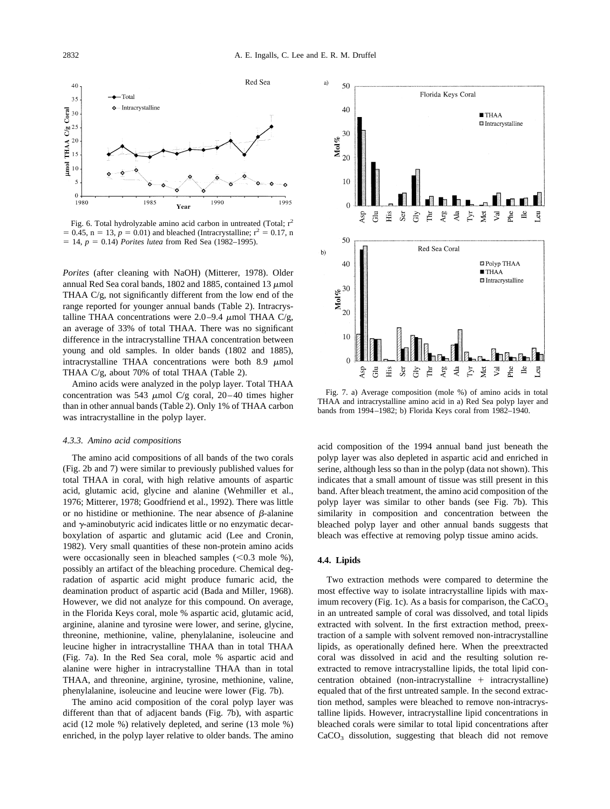<span id="page-6-0"></span>

Fig. 6. Total hydrolyzable amino acid carbon in untreated (Total;  $r^2$  $= 0.45$ ,  $n = 13$ ,  $p = 0.01$ ) and bleached (Intracrystalline;  $r^2 = 0.17$ , n  $= 14$ ,  $p = 0.14$ ) *Porites lutea* from Red Sea (1982–1995).

*Porites* (after cleaning with NaOH) [\(Mitterer, 1978\).](#page-15-0) Older annual Red Sea coral bands, 1802 and 1885, contained 13  $\mu$ mol THAA C/g, not significantly different from the low end of the range reported for younger annual bands [\(Table 2\)](#page-5-0). Intracrystalline THAA concentrations were 2.0–9.4  $\mu$ mol THAA C/g, an average of 33% of total THAA. There was no significant difference in the intracrystalline THAA concentration between young and old samples. In older bands (1802 and 1885), intracrystalline THAA concentrations were both  $8.9 \mu$ mol THAA C/g, about 70% of total THAA [\(Table 2\)](#page-5-0).

Amino acids were analyzed in the polyp layer. Total THAA concentration was 543  $\mu$ mol C/g coral, 20–40 times higher than in other annual bands [\(Table 2\)](#page-5-0). Only 1% of THAA carbon was intracrystalline in the polyp layer.

#### *4.3.3. Amino acid compositions*

The amino acid compositions of all bands of the two corals [\(Fig. 2b and 7\)](#page-4-0) were similar to previously published values for total THAA in coral, with high relative amounts of aspartic acid, glutamic acid, glycine and alanine [\(Wehmiller et al.,](#page-15-0) [1976; Mitterer, 1978; Goodfriend et al., 1992\).](#page-15-0) There was little or no histidine or methionine. The near absence of  $\beta$ -alanine and  $\gamma$ -aminobutyric acid indicates little or no enzymatic decarboxylation of aspartic and glutamic acid [\(Lee and Cronin,](#page-14-0) [1982\).](#page-14-0) Very small quantities of these non-protein amino acids were occasionally seen in bleached samples  $(< 0.3$  mole %), possibly an artifact of the bleaching procedure. Chemical degradation of aspartic acid might produce fumaric acid, the deamination product of aspartic acid [\(Bada and Miller, 1968\).](#page-13-0) However, we did not analyze for this compound. On average, in the Florida Keys coral, mole % aspartic acid, glutamic acid, arginine, alanine and tyrosine were lower, and serine, glycine, threonine, methionine, valine, phenylalanine, isoleucine and leucine higher in intracrystalline THAA than in total THAA (Fig. 7a). In the Red Sea coral, mole % aspartic acid and alanine were higher in intracrystalline THAA than in total THAA, and threonine, arginine, tyrosine, methionine, valine, phenylalanine, isoleucine and leucine were lower (Fig. 7b).

The amino acid composition of the coral polyp layer was different than that of adjacent bands (Fig. 7b), with aspartic acid (12 mole %) relatively depleted, and serine (13 mole %) enriched, in the polyp layer relative to older bands. The amino



Fig. 7. a) Average composition (mole %) of amino acids in total THAA and intracrystalline amino acid in a) Red Sea polyp layer and bands from 1994–1982; b) Florida Keys coral from 1982–1940.

acid composition of the 1994 annual band just beneath the polyp layer was also depleted in aspartic acid and enriched in serine, although less so than in the polyp (data not shown). This indicates that a small amount of tissue was still present in this band. After bleach treatment, the amino acid composition of the polyp layer was similar to other bands (see Fig. 7b). This similarity in composition and concentration between the bleached polyp layer and other annual bands suggests that bleach was effective at removing polyp tissue amino acids.

### **4.4. Lipids**

Two extraction methods were compared to determine the most effective way to isolate intracrystalline lipids with max-imum recovery [\(Fig. 1c\)](#page-3-0). As a basis for comparison, the  $CaCO<sub>3</sub>$ in an untreated sample of coral was dissolved, and total lipids extracted with solvent. In the first extraction method, preextraction of a sample with solvent removed non-intracrystalline lipids, as operationally defined here. When the preextracted coral was dissolved in acid and the resulting solution reextracted to remove intracrystalline lipids, the total lipid concentration obtained (non-intracrystalline  $+$  intracrystalline) equaled that of the first untreated sample. In the second extraction method, samples were bleached to remove non-intracrystalline lipids. However, intracrystalline lipid concentrations in bleached corals were similar to total lipid concentrations after  $CaCO<sub>3</sub>$  dissolution, suggesting that bleach did not remove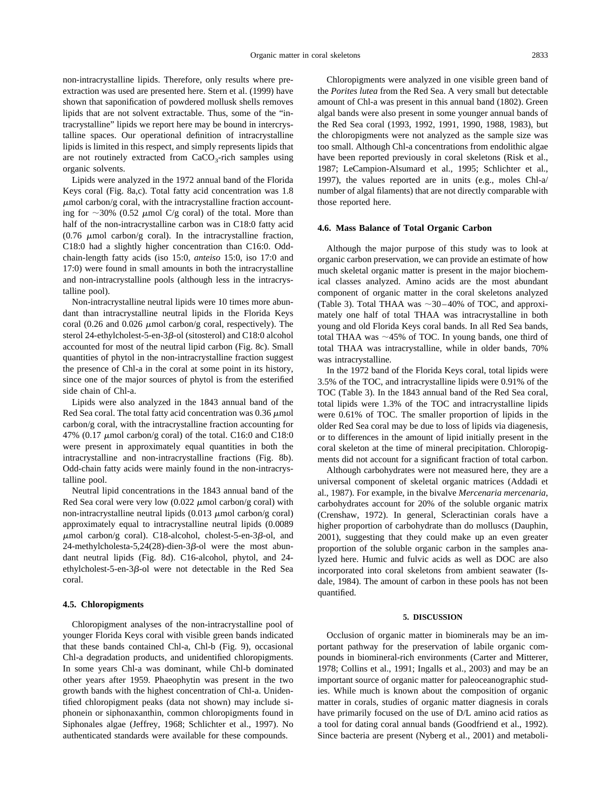non-intracrystalline lipids. Therefore, only results where preextraction was used are presented here. [Stern et al. \(1999\)](#page-15-0) have shown that saponification of powdered mollusk shells removes lipids that are not solvent extractable. Thus, some of the "intracrystalline" lipids we report here may be bound in intercrystalline spaces. Our operational definition of intracrystalline lipids is limited in this respect, and simply represents lipids that are not routinely extracted from  $CaCO<sub>3</sub>-rich$  samples using organic solvents.

Lipids were analyzed in the 1972 annual band of the Florida Keys coral [\(Fig. 8a,c\)](#page-8-0). Total fatty acid concentration was 1.8  $\mu$ mol carbon/g coral, with the intracrystalline fraction accounting for  $\sim$ 30% (0.52  $\mu$ mol C/g coral) of the total. More than half of the non-intracrystalline carbon was in C18:0 fatty acid (0.76  $\mu$ mol carbon/g coral). In the intracrystalline fraction, C18:0 had a slightly higher concentration than C16:0. Oddchain-length fatty acids (iso 15:0, *anteiso* 15:0, iso 17:0 and 17:0) were found in small amounts in both the intracrystalline and non-intracrystalline pools (although less in the intracrystalline pool).

Non-intracrystalline neutral lipids were 10 times more abundant than intracrystalline neutral lipids in the Florida Keys coral (0.26 and 0.026  $\mu$ mol carbon/g coral, respectively). The sterol 24-ethylcholest-5-en-3β-ol (sitosterol) and C18:0 alcohol accounted for most of the neutral lipid carbon [\(Fig. 8c\)](#page-8-0). Small quantities of phytol in the non-intracrystalline fraction suggest the presence of Chl-a in the coral at some point in its history, since one of the major sources of phytol is from the esterified side chain of Chl-a.

Lipids were also analyzed in the 1843 annual band of the Red Sea coral. The total fatty acid concentration was  $0.36 \mu$ mol carbon/g coral, with the intracrystalline fraction accounting for 47% (0.17  $\mu$ mol carbon/g coral) of the total. C16:0 and C18:0 were present in approximately equal quantities in both the intracrystalline and non-intracrystalline fractions [\(Fig. 8b\)](#page-8-0). Odd-chain fatty acids were mainly found in the non-intracrystalline pool.

Neutral lipid concentrations in the 1843 annual band of the Red Sea coral were very low  $(0.022 \mu mol$  carbon/g coral) with non-intracrystalline neutral lipids  $(0.013 \mu \text{mol carbon/g~coral})$ approximately equal to intracrystalline neutral lipids (0.0089  $\mu$ mol carbon/g coral). C18-alcohol, cholest-5-en-3 $\beta$ -ol, and 24-methylcholesta-5,24(28)-dien-3 $\beta$ -ol were the most abundant neutral lipids [\(Fig. 8d\)](#page-8-0). C16-alcohol, phytol, and 24 ethylcholest-5-en-3 $\beta$ -ol were not detectable in the Red Sea coral.

#### **4.5. Chloropigments**

Chloropigment analyses of the non-intracrystalline pool of younger Florida Keys coral with visible green bands indicated that these bands contained Chl-a, Chl-b [\(Fig. 9\)](#page-9-0), occasional Chl-a degradation products, and unidentified chloropigments. In some years Chl-a was dominant, while Chl-b dominated other years after 1959. Phaeophytin was present in the two growth bands with the highest concentration of Chl-a. Unidentified chloropigment peaks (data not shown) may include siphonein or siphonaxanthin, common chloropigments found in Siphonales algae [\(Jeffrey, 1968; Schlichter et al., 1997\).](#page-14-0) No authenticated standards were available for these compounds.

Chloropigments were analyzed in one visible green band of the *Porites lutea* from the Red Sea. A very small but detectable amount of Chl-a was present in this annual band (1802). Green algal bands were also present in some younger annual bands of the Red Sea coral (1993, 1992, 1991, 1990, 1988, 1983), but the chloropigments were not analyzed as the sample size was too small. Although Chl-a concentrations from endolithic algae have been reported previously in coral skeletons [\(Risk et al.,](#page-15-0) [1987; LeCampion-Alsumard et al., 1995; Schlichter et al.,](#page-15-0) [1997\),](#page-15-0) the values reported are in units (e.g., moles Chl-a/ number of algal filaments) that are not directly comparable with those reported here.

#### **4.6. Mass Balance of Total Organic Carbon**

Although the major purpose of this study was to look at organic carbon preservation, we can provide an estimate of how much skeletal organic matter is present in the major biochemical classes analyzed. Amino acids are the most abundant component of organic matter in the coral skeletons analyzed [\(Table 3\)](#page-9-0). Total THAA was  $\sim$ 30–40% of TOC, and approximately one half of total THAA was intracrystalline in both young and old Florida Keys coral bands. In all Red Sea bands, total THAA was  $\sim$ 45% of TOC. In young bands, one third of total THAA was intracrystalline, while in older bands, 70% was intracrystalline.

In the 1972 band of the Florida Keys coral, total lipids were 3.5% of the TOC, and intracrystalline lipids were 0.91% of the TOC [\(Table 3\)](#page-9-0). In the 1843 annual band of the Red Sea coral, total lipids were 1.3% of the TOC and intracrystalline lipids were 0.61% of TOC. The smaller proportion of lipids in the older Red Sea coral may be due to loss of lipids via diagenesis, or to differences in the amount of lipid initially present in the coral skeleton at the time of mineral precipitation. Chloropigments did not account for a significant fraction of total carbon.

Although carbohydrates were not measured here, they are a universal component of skeletal organic matrices [\(Addadi et](#page-13-0) [al., 1987\).](#page-13-0) For example, in the bivalve *Mercenaria mercenaria*, carbohydrates account for 20% of the soluble organic matrix [\(Crenshaw, 1972\).](#page-14-0) In general, Scleractinian corals have a higher proportion of carbohydrate than do molluscs [\(Dauphin,](#page-14-0) [2001\),](#page-14-0) suggesting that they could make up an even greater proportion of the soluble organic carbon in the samples analyzed here. Humic and fulvic acids as well as DOC are also incorporated into coral skeletons from ambient seawater [\(Is](#page-14-0)[dale, 1984\).](#page-14-0) The amount of carbon in these pools has not been quantified.

#### **5. DISCUSSION**

Occlusion of organic matter in biominerals may be an important pathway for the preservation of labile organic compounds in biomineral-rich environments [\(Carter and Mitterer,](#page-14-0) [1978; Collins et al., 1991; Ingalls et al., 2003\)](#page-14-0) and may be an important source of organic matter for paleoceanographic studies. While much is known about the composition of organic matter in corals, studies of organic matter diagnesis in corals have primarily focused on the use of D/L amino acid ratios as a tool for dating coral annual bands [\(Goodfriend et al., 1992\).](#page-14-0) Since bacteria are present [\(Nyberg et al., 2001\)](#page-15-0) and metaboli-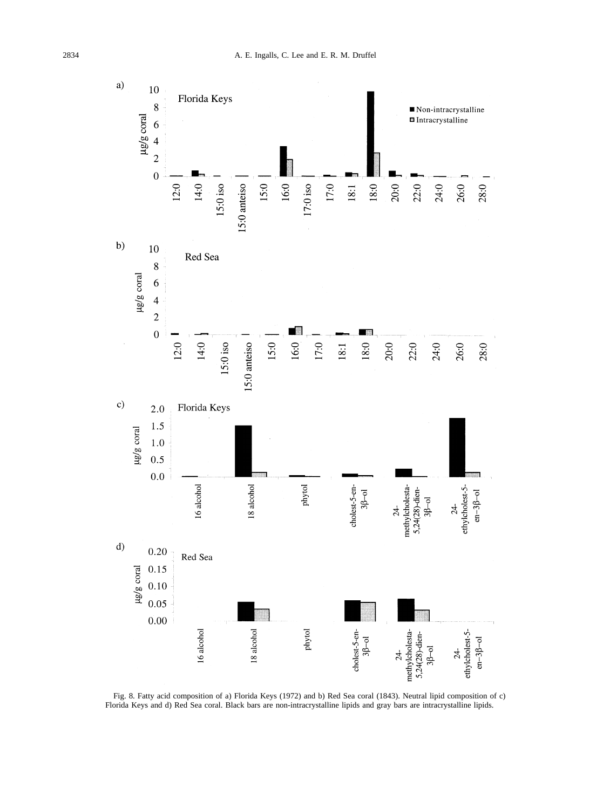<span id="page-8-0"></span>

Fig. 8. Fatty acid composition of a) Florida Keys (1972) and b) Red Sea coral (1843). Neutral lipid composition of c) Florida Keys and d) Red Sea coral. Black bars are non-intracrystalline lipids and gray bars are intracrystalline lipids.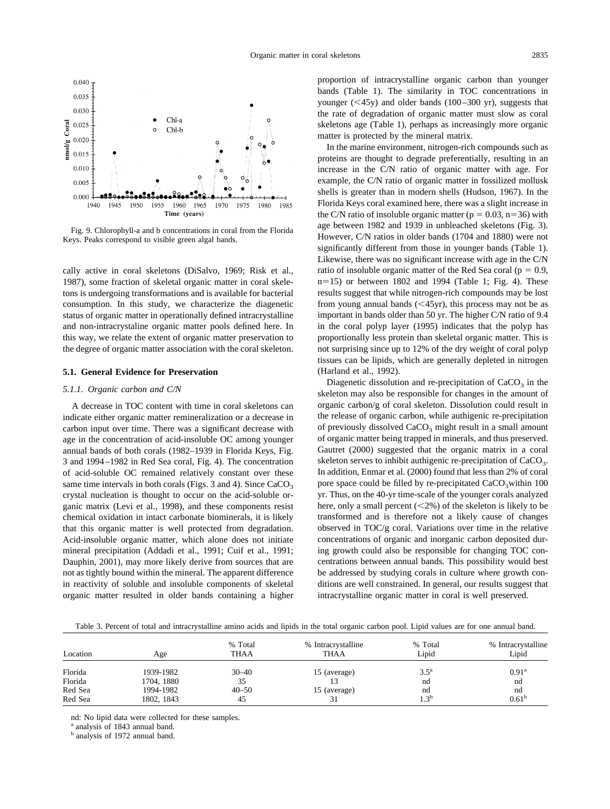<span id="page-9-0"></span>

Fig. 9. Chlorophyll-a and b concentrations in coral from the Florida Keys. Peaks correspond to visible green algal bands.

cally active in coral skeletons [\(DiSalvo, 1969; Risk et al.,](#page-14-0) [1987\),](#page-14-0) some fraction of skeletal organic matter in coral skeletons is undergoing transformations and is available for bacterial consumption. In this study, we characterize the diagenetic status of organic matter in operationally defined intracrystalline and non-intracrystaline organic matter pools defined here. In this way, we relate the extent of organic matter preservation to the degree of organic matter association with the coral skeleton.

#### **5.1. General Evidence for Preservation**

#### *5.1.1. Organic carbon and C/N*

A decrease in TOC content with time in coral skeletons can indicate either organic matter remineralization or a decrease in carbon input over time. There was a significant decrease with age in the concentration of acid-insoluble OC among younger annual bands of both corals (1982–1939 in Florida Keys, [Fig.](#page-4-0) [3](#page-4-0) and 1994–1982 in Red Sea coral, [Fig. 4\)](#page-5-0). The concentration of acid-soluble OC remained relatively constant over these same time intervals in both corals [\(Figs. 3](#page-4-0) and [4\)](#page-5-0). Since  $CaCO<sub>3</sub>$ crystal nucleation is thought to occur on the acid-soluble organic matrix [\(Levi et al., 1998\),](#page-14-0) and these components resist chemical oxidation in intact carbonate biominerals, it is likely that this organic matter is well protected from degradation. Acid-insoluble organic matter, which alone does not initiate mineral precipitation [\(Addadi et al., 1991; Cuif et al., 1991;](#page-13-0) [Dauphin, 2001\),](#page-13-0) may more likely derive from sources that are not as tightly bound within the mineral. The apparent difference in reactivity of soluble and insoluble components of skeletal organic matter resulted in older bands containing a higher

proportion of intracrystalline organic carbon than younger bands [\(Table 1\)](#page-4-0). The similarity in TOC concentrations in younger  $( $45y$ )$  and older bands  $(100–300 \text{ yr})$ , suggests that the rate of degradation of organic matter must slow as coral skeletons age [\(Table 1\)](#page-4-0), perhaps as increasingly more organic matter is protected by the mineral matrix.

In the marine environment, nitrogen-rich compounds such as proteins are thought to degrade preferentially, resulting in an increase in the C/N ratio of organic matter with age. For example, the C/N ratio of organic matter in fossilized mollusk shells is greater than in modern shells [\(Hudson, 1967\).](#page-14-0) In the Florida Keys coral examined here, there was a slight increase in the C/N ratio of insoluble organic matter ( $p = 0.03$ ,  $n=36$ ) with age between 1982 and 1939 in unbleached skeletons [\(Fig. 3\)](#page-4-0). However, C/N ratios in older bands (1704 and 1880) were not significantly different from those in younger bands [\(Table 1\)](#page-4-0). Likewise, there was no significant increase with age in the C/N ratio of insoluble organic matter of the Red Sea coral ( $p = 0.9$ ,  $n=15$ ) or between 1802 and 1994 [\(Table 1;](#page-4-0) [Fig. 4\)](#page-5-0). These results suggest that while nitrogen-rich compounds may be lost from young annual bands  $( $45yr$ ), this process may not be as$ important in bands older than 50 yr. The higher C/N ratio of 9.4 in the coral polyp layer (1995) indicates that the polyp has proportionally less protein than skeletal organic matter. This is not surprising since up to 12% of the dry weight of coral polyp tissues can be lipids, which are generally depleted in nitrogen [\(Harland et al., 1992\).](#page-14-0)

Diagenetic dissolution and re-precipitation of  $CaCO<sub>3</sub>$  in the skeleton may also be responsible for changes in the amount of organic carbon/g of coral skeleton. Dissolution could result in the release of organic carbon, while authigenic re-precipitation of previously dissolved  $CaCO<sub>3</sub>$  might result in a small amount of organic matter being trapped in minerals, and thus preserved. [Gautret \(2000\)](#page-14-0) suggested that the organic matrix in a coral skeleton serves to inhibit authigenic re-precipitation of  $CaCO<sub>3</sub>$ . In addition, [Enmar et al. \(2000\)](#page-14-0) found that less than 2% of coral pore space could be filled by re-precipitated  $CaCO<sub>3</sub>$  within 100 yr. Thus, on the 40-yr time-scale of the younger corals analyzed here, only a small percent (<2%) of the skeleton is likely to be transformed and is therefore not a likely cause of changes observed in TOC/g coral. Variations over time in the relative concentrations of organic and inorganic carbon deposited during growth could also be responsible for changing TOC concentrations between annual bands. This possibility would best be addressed by studying corals in culture where growth conditions are well constrained. In general, our results suggest that intracrystalline organic matter in coral is well preserved.

Table 3. Percent of total and intracrystalline amino acids and lipids in the total organic carbon pool. Lipid values are for one annual band.

|          |            | % Total     | % Intracrystalline | % Total            | % Intracrystalline |
|----------|------------|-------------|--------------------|--------------------|--------------------|
| Location | Age        | <b>THAA</b> | <b>THAA</b>        | Lipid              | Lipid              |
| Florida  | 1939-1982  | $30 - 40$   | 15 (average)       | $3.5^{\mathrm{a}}$ | $0.91^{\rm a}$     |
| Florida  | 1704, 1880 | 35          |                    | nd                 | nd                 |
| Red Sea  | 1994-1982  | $40 - 50$   | 15 (average)       | nd                 | nd                 |
| Red Sea  | 1802, 1843 | 45          |                    | 1.3 <sup>b</sup>   | 0.61 <sup>b</sup>  |

nd: No lipid data were collected for these samples.

analysis of 1843 annual band.

<sup>b</sup> analysis of 1972 annual band.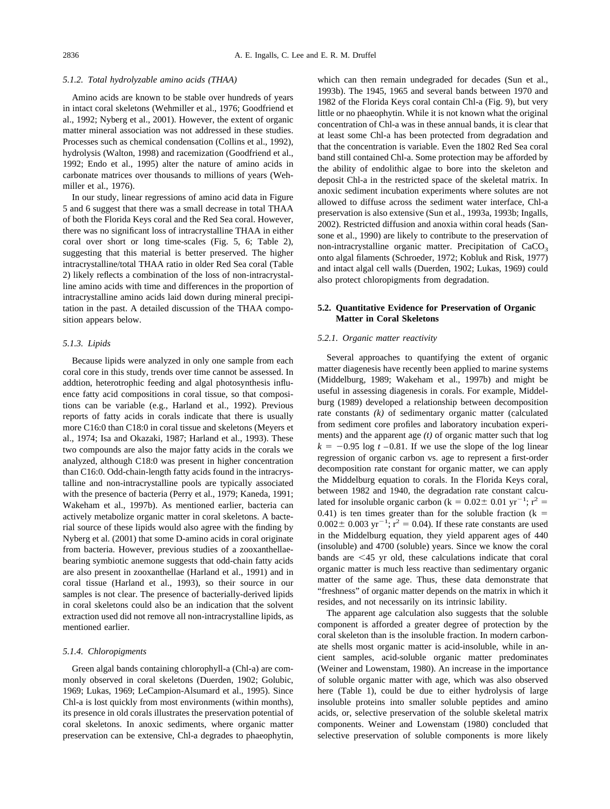#### *5.1.2. Total hydrolyzable amino acids (THAA)*

Amino acids are known to be stable over hundreds of years in intact coral skeletons [\(Wehmiller et al., 1976; Goodfriend et](#page-15-0) [al., 1992; Nyberg et al., 2001\).](#page-15-0) However, the extent of organic matter mineral association was not addressed in these studies. Processes such as chemical condensation [\(Collins et al., 1992\),](#page-14-0) hydrolysis [\(Walton, 1998\)](#page-15-0) and racemization [\(Goodfriend et al.,](#page-14-0) [1992; Endo et al., 1995\)](#page-14-0) alter the nature of amino acids in carbonate matrices over thousands to millions of years [\(Weh](#page-15-0)[miller et al., 1976\).](#page-15-0)

In our study, linear regressions of amino acid data in [Figure](#page-5-0) [5 and 6](#page-5-0) suggest that there was a small decrease in total THAA of both the Florida Keys coral and the Red Sea coral. However, there was no significant loss of intracrystalline THAA in either coral over short or long time-scales [\(Fig. 5, 6; Table 2\)](#page-5-0), suggesting that this material is better preserved. The higher intracrystalline/total THAA ratio in older Red Sea coral [\(Table](#page-5-0) [2\)](#page-5-0) likely reflects a combination of the loss of non-intracrystalline amino acids with time and differences in the proportion of intracrystalline amino acids laid down during mineral precipitation in the past. A detailed discussion of the THAA composition appears below.

### *5.1.3. Lipids*

Because lipids were analyzed in only one sample from each coral core in this study, trends over time cannot be assessed. In addtion, heterotrophic feeding and algal photosynthesis influence fatty acid compositions in coral tissue, so that compositions can be variable (e.g., [Harland et al., 1992\).](#page-14-0) Previous reports of fatty acids in corals indicate that there is usually more C16:0 than C18:0 in coral tissue and skeletons [\(Meyers et](#page-15-0) [al., 1974; Isa and Okazaki, 1987; Harland et al., 1993\).](#page-15-0) These two compounds are also the major fatty acids in the corals we analyzed, although C18:0 was present in higher concentration than C16:0. Odd-chain-length fatty acids found in the intracrystalline and non-intracrystalline pools are typically associated with the presence of bacteria [\(Perry et al., 1979; Kaneda, 1991;](#page-15-0) [Wakeham et al., 1997b\).](#page-15-0) As mentioned earlier, bacteria can actively metabolize organic matter in coral skeletons. A bacterial source of these lipids would also agree with the finding by [Nyberg et al. \(2001\)](#page-15-0) that some D-amino acids in coral originate from bacteria. However, previous studies of a zooxanthellaebearing symbiotic anemone suggests that odd-chain fatty acids are also present in zooxanthellae [\(Harland et al., 1991\)](#page-14-0) and in coral tissue [\(Harland et al., 1993\),](#page-14-0) so their source in our samples is not clear. The presence of bacterially-derived lipids in coral skeletons could also be an indication that the solvent extraction used did not remove all non-intracrystalline lipids, as mentioned earlier.

### *5.1.4. Chloropigments*

Green algal bands containing chlorophyll-a (Chl-a) are commonly observed in coral skeletons [\(Duerden, 1902; Golubic,](#page-14-0) [1969; Lukas, 1969; LeCampion-Alsumard et al., 1995\).](#page-14-0) Since Chl-a is lost quickly from most environments (within months), its presence in old corals illustrates the preservation potential of coral skeletons. In anoxic sediments, where organic matter preservation can be extensive, Chl-a degrades to phaeophytin,

which can then remain undegraded for decades [\(Sun et al.,](#page-15-0) [1993b\).](#page-15-0) The 1945, 1965 and several bands between 1970 and 1982 of the Florida Keys coral contain Chl-a [\(Fig. 9\)](#page-9-0), but very little or no phaeophytin. While it is not known what the original concentration of Chl-a was in these annual bands, it is clear that at least some Chl-a has been protected from degradation and that the concentration is variable. Even the 1802 Red Sea coral band still contained Chl-a. Some protection may be afforded by the ability of endolithic algae to bore into the skeleton and deposit Chl-a in the restricted space of the skeletal matrix. In anoxic sediment incubation experiments where solutes are not allowed to diffuse across the sediment water interface, Chl-a preservation is also extensive [\(Sun et al., 1993a, 1993b; Ingalls,](#page-15-0) [2002\).](#page-15-0) Restricted diffusion and anoxia within coral heads [\(San](#page-15-0)[sone et al., 1990\)](#page-15-0) are likely to contribute to the preservation of non-intracrystalline organic matter. Precipitation of  $CaCO<sub>3</sub>$ onto algal filaments [\(Schroeder, 1972; Kobluk and Risk, 1977\)](#page-15-0) and intact algal cell walls [\(Duerden, 1902; Lukas, 1969\)](#page-14-0) could also protect chloropigments from degradation.

### **5.2. Quantitative Evidence for Preservation of Organic Matter in Coral Skeletons**

#### *5.2.1. Organic matter reactivity*

Several approaches to quantifying the extent of organic matter diagenesis have recently been applied to marine systems [\(Middelburg, 1989; Wakeham et al., 1997b\)](#page-15-0) and might be useful in assessing diagenesis in corals. For example, [Middel](#page-15-0)[burg \(1989\)](#page-15-0) developed a relationship between decomposition rate constants *(k)* of sedimentary organic matter (calculated from sediment core profiles and laboratory incubation experiments) and the apparent age *(t)* of organic matter such that log  $k = -0.95 \log t - 0.81$ . If we use the slope of the log linear regression of organic carbon vs. age to represent a first-order decomposition rate constant for organic matter, we can apply the Middelburg equation to corals. In the Florida Keys coral, between 1982 and 1940, the degradation rate constant calculated for insoluble organic carbon ( $k = 0.02 \pm 0.01$  yr<sup>-1</sup>; r<sup>2</sup> = 0.41) is ten times greater than for the soluble fraction  $(k = 1)$  $0.002 \pm 0.003 \text{ yr}^{-1}$ ;  $r^2 = 0.04$ ). If these rate constants are used in the Middelburg equation, they yield apparent ages of 440 (insoluble) and 4700 (soluble) years. Since we know the coral bands are  $\leq 45$  yr old, these calculations indicate that coral organic matter is much less reactive than sedimentary organic matter of the same age. Thus, these data demonstrate that "freshness" of organic matter depends on the matrix in which it resides, and not necessarily on its intrinsic lability.

The apparent age calculation also suggests that the soluble component is afforded a greater degree of protection by the coral skeleton than is the insoluble fraction. In modern carbonate shells most organic matter is acid-insoluble, while in ancient samples, acid-soluble organic matter predominates [\(Weiner and Lowenstam, 1980\).](#page-15-0) An increase in the importance of soluble organic matter with age, which was also observed here [\(Table 1\)](#page-4-0), could be due to either hydrolysis of large insoluble proteins into smaller soluble peptides and amino acids, or, selective preservation of the soluble skeletal matrix components. [Weiner and Lowenstam \(1980\)](#page-15-0) concluded that selective preservation of soluble components is more likely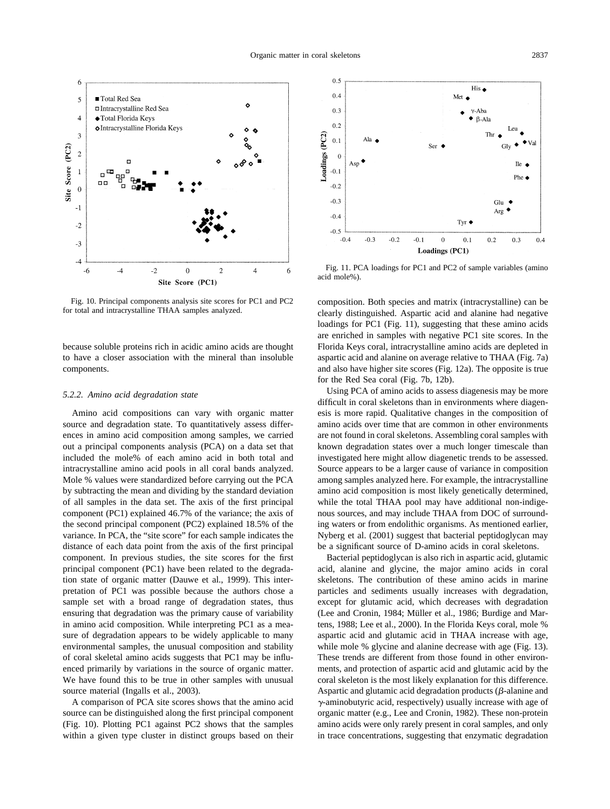

Fig. 10. Principal components analysis site scores for PC1 and PC2 for total and intracrystalline THAA samples analyzed.

because soluble proteins rich in acidic amino acids are thought to have a closer association with the mineral than insoluble components.

#### *5.2.2. Amino acid degradation state*

Amino acid compositions can vary with organic matter source and degradation state. To quantitatively assess differences in amino acid composition among samples, we carried out a principal components analysis (PCA) on a data set that included the mole% of each amino acid in both total and intracrystalline amino acid pools in all coral bands analyzed. Mole % values were standardized before carrying out the PCA by subtracting the mean and dividing by the standard deviation of all samples in the data set. The axis of the first principal component (PC1) explained 46.7% of the variance; the axis of the second principal component (PC2) explained 18.5% of the variance. In PCA, the "site score" for each sample indicates the distance of each data point from the axis of the first principal component. In previous studies, the site scores for the first principal component (PC1) have been related to the degradation state of organic matter [\(Dauwe et al., 1999\).](#page-14-0) This interpretation of PC1 was possible because the authors chose a sample set with a broad range of degradation states, thus ensuring that degradation was the primary cause of variability in amino acid composition. While interpreting PC1 as a measure of degradation appears to be widely applicable to many environmental samples, the unusual composition and stability of coral skeletal amino acids suggests that PC1 may be influenced primarily by variations in the source of organic matter. We have found this to be true in other samples with unusual source material [\(Ingalls et al., 2003\).](#page-14-0)

A comparison of PCA site scores shows that the amino acid source can be distinguished along the first principal component (Fig. 10). Plotting PC1 against PC2 shows that the samples within a given type cluster in distinct groups based on their



Fig. 11. PCA loadings for PC1 and PC2 of sample variables (amino acid mole%).

composition. Both species and matrix (intracrystalline) can be clearly distinguished. Aspartic acid and alanine had negative loadings for PC1 (Fig. 11), suggesting that these amino acids are enriched in samples with negative PC1 site scores. In the Florida Keys coral, intracrystalline amino acids are depleted in aspartic acid and alanine on average relative to THAA [\(Fig. 7a\)](#page-6-0) and also have higher site scores [\(Fig. 12a\)](#page-12-0). The opposite is true for the Red Sea coral [\(Fig. 7b, 12b\)](#page-6-0).

Using PCA of amino acids to assess diagenesis may be more difficult in coral skeletons than in environments where diagenesis is more rapid. Qualitative changes in the composition of amino acids over time that are common in other environments are not found in coral skeletons. Assembling coral samples with known degradation states over a much longer timescale than investigated here might allow diagenetic trends to be assessed. Source appears to be a larger cause of variance in composition among samples analyzed here. For example, the intracrystalline amino acid composition is most likely genetically determined, while the total THAA pool may have additional non-indigenous sources, and may include THAA from DOC of surrounding waters or from endolithic organisms. As mentioned earlier, [Nyberg et al. \(2001\)](#page-15-0) suggest that bacterial peptidoglycan may be a significant source of D-amino acids in coral skeletons.

Bacterial peptidoglycan is also rich in aspartic acid, glutamic acid, alanine and glycine, the major amino acids in coral skeletons. The contribution of these amino acids in marine particles and sediments usually increases with degradation, except for glutamic acid, which decreases with degradation (Lee and Cronin, 1984; Müller et al., 1986; Burdige and Mar[tens, 1988; Lee et al., 2000\).](#page-14-0) In the Florida Keys coral, mole % aspartic acid and glutamic acid in THAA increase with age, while mole % glycine and alanine decrease with age [\(Fig. 13\)](#page-12-0). These trends are different from those found in other environments, and protection of aspartic acid and glutamic acid by the coral skeleton is the most likely explanation for this difference. Aspartic and glutamic acid degradation products  $(\beta$ -alanine and  $\gamma$ -aminobutyric acid, respectively) usually increase with age of organic matter (e.g., [Lee and Cronin, 1982\).](#page-14-0) These non-protein amino acids were only rarely present in coral samples, and only in trace concentrations, suggesting that enzymatic degradation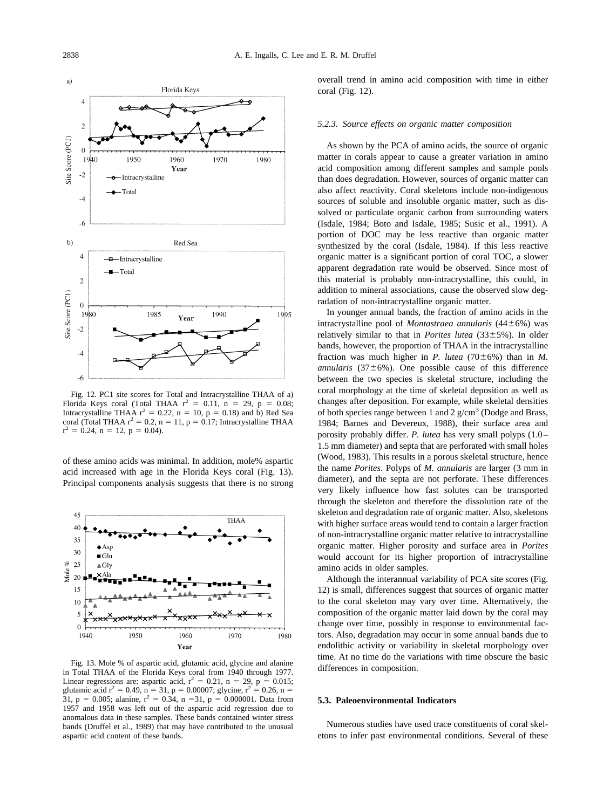<span id="page-12-0"></span>

Fig. 12. PC1 site scores for Total and Intracrystalline THAA of a) Florida Keys coral (Total THAA  $r^2 = 0.11$ , n = 29, p = 0.08; Intracrystalline THAA  $r^2 = 0.22$ ,  $n = 10$ ,  $p = 0.18$ ) and b) Red Sea coral (Total THAA  $r^2 = 0.2$ , n = 11, p = 0.17; Intracrystalline THAA  $r^2 = 0.24$ , n = 12, p = 0.04).

of these amino acids was minimal. In addition, mole% aspartic acid increased with age in the Florida Keys coral (Fig. 13). Principal components analysis suggests that there is no strong



Fig. 13. Mole % of aspartic acid, glutamic acid, glycine and alanine in Total THAA of the Florida Keys coral from 1940 through 1977. Linear regressions are: aspartic acid,  $r^2 = 0.21$ ,  $n = 29$ ,  $p = 0.015$ ; glutamic acid  $r^2 = 0.49$ ,  $n = 31$ ,  $p = 0.00007$ ; glycine,  $r^2 = 0.26$ ,  $n =$ 31, p = 0.005; alanine,  $r^2 = 0.34$ , n = 31, p = 0.000001. Data from 1957 and 1958 was left out of the aspartic acid regression due to anomalous data in these samples. These bands contained winter stress bands [\(Druffel et al., 1989\)](#page-14-0) that may have contributed to the unusual aspartic acid content of these bands.

overall trend in amino acid composition with time in either coral (Fig. 12).

#### *5.2.3. Source effects on organic matter composition*

As shown by the PCA of amino acids, the source of organic matter in corals appear to cause a greater variation in amino acid composition among different samples and sample pools than does degradation. However, sources of organic matter can also affect reactivity. Coral skeletons include non-indigenous sources of soluble and insoluble organic matter, such as dissolved or particulate organic carbon from surrounding waters [\(Isdale, 1984; Boto and Isdale, 1985; Susic et al., 1991\).](#page-14-0) A portion of DOC may be less reactive than organic matter synthesized by the coral [\(Isdale, 1984\).](#page-14-0) If this less reactive organic matter is a significant portion of coral TOC, a slower apparent degradation rate would be observed. Since most of this material is probably non-intracrystalline, this could, in addition to mineral associations, cause the observed slow degradation of non-intracrystalline organic matter.

In younger annual bands, the fraction of amino acids in the intracrystalline pool of *Montastraea annularis* (44±6%) was relatively similar to that in *Porites lutea*  $(33\pm5\%)$ . In older bands, however, the proportion of THAA in the intracrystalline fraction was much higher in *P. lutea* (70 $\pm$ 6%) than in *M. annularis* (37 $\pm$ 6%). One possible cause of this difference between the two species is skeletal structure, including the coral morphology at the time of skeletal deposition as well as changes after deposition. For example, while skeletal densities of both species range between 1 and 2  $g/cm<sup>3</sup>$  [\(Dodge and Brass,](#page-14-0) [1984; Barnes and Devereux, 1988\),](#page-14-0) their surface area and porosity probably differ. *P. lutea* has very small polyps (1.0– 1.5 mm diameter) and septa that are perforated with small holes [\(Wood, 1983\).](#page-15-0) This results in a porous skeletal structure, hence the name *Porites*. Polyps of *M. annularis* are larger (3 mm in diameter), and the septa are not perforate. These differences very likely influence how fast solutes can be transported through the skeleton and therefore the dissolution rate of the skeleton and degradation rate of organic matter. Also, skeletons with higher surface areas would tend to contain a larger fraction of non-intracrystalline organic matter relative to intracrystalline organic matter. Higher porosity and surface area in *Porites* would account for its higher proportion of intracrystalline amino acids in older samples.

Although the interannual variability of PCA site scores (Fig. 12) is small, differences suggest that sources of organic matter to the coral skeleton may vary over time. Alternatively, the composition of the organic matter laid down by the coral may change over time, possibly in response to environmental factors. Also, degradation may occur in some annual bands due to endolithic activity or variability in skeletal morphology over time. At no time do the variations with time obscure the basic differences in composition.

#### **5.3. Paleoenvironmental Indicators**

Numerous studies have used trace constituents of coral skeletons to infer past environmental conditions. Several of these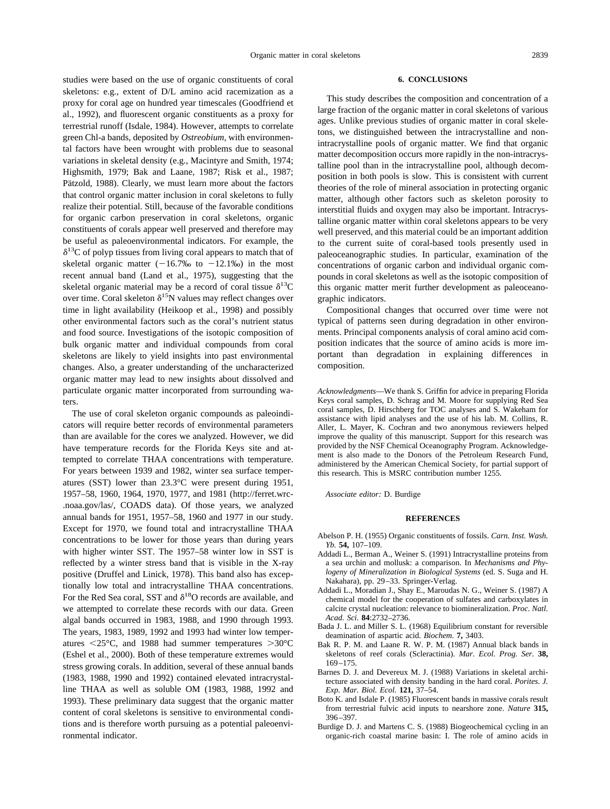<span id="page-13-0"></span>studies were based on the use of organic constituents of coral skeletons: e.g., extent of D/L amino acid racemization as a proxy for coral age on hundred year timescales [\(Goodfriend et](#page-14-0) [al., 1992\),](#page-14-0) and fluorescent organic constituents as a proxy for terrestrial runoff [\(Isdale, 1984\).](#page-14-0) However, attempts to correlate green Chl-a bands, deposited by *Ostreobium,* with environmental factors have been wrought with problems due to seasonal variations in skeletal density (e.g., [Macintyre and Smith, 1974;](#page-15-0) [Highsmith, 1979; Bak and Laane, 1987; Risk et al., 1987;](#page-15-0) Pätzold, 1988). Clearly, we must learn more about the factors that control organic matter inclusion in coral skeletons to fully realize their potential. Still, because of the favorable conditions for organic carbon preservation in coral skeletons, organic constituents of corals appear well preserved and therefore may be useful as paleoenvironmental indicators. For example, the  $\delta^{13}$ C of polyp tissues from living coral appears to match that of skeletal organic matter  $(-16.7\%)$  to  $-12.1\%)$  in the most recent annual band [\(Land et al., 1975\),](#page-14-0) suggesting that the skeletal organic material may be a record of coral tissue  $\delta^{13}$ C over time. Coral skeleton  $\delta^{15}N$  values may reflect changes over time in light availability [\(Heikoop et al., 1998\)](#page-14-0) and possibly other environmental factors such as the coral's nutrient status and food source. Investigations of the isotopic composition of bulk organic matter and individual compounds from coral skeletons are likely to yield insights into past environmental changes. Also, a greater understanding of the uncharacterized organic matter may lead to new insights about dissolved and particulate organic matter incorporated from surrounding waters.

The use of coral skeleton organic compounds as paleoindicators will require better records of environmental parameters than are available for the cores we analyzed. However, we did have temperature records for the Florida Keys site and attempted to correlate THAA concentrations with temperature. For years between 1939 and 1982, winter sea surface temperatures (SST) lower than 23.3°C were present during 1951, 1957–58, 1960, 1964, 1970, 1977, and 1981 (http://ferret.wrc- .noaa.gov/las/, COADS data). Of those years, we analyzed annual bands for 1951, 1957–58, 1960 and 1977 in our study. Except for 1970, we found total and intracrystalline THAA concentrations to be lower for those years than during years with higher winter SST. The 1957–58 winter low in SST is reflected by a winter stress band that is visible in the X-ray positive [\(Druffel and Linick, 1978\).](#page-14-0) This band also has exceptionally low total and intracrystalline THAA concentrations. For the Red Sea coral, SST and  $\delta^{18}O$  records are available, and we attempted to correlate these records with our data. Green algal bands occurred in 1983, 1988, and 1990 through 1993. The years, 1983, 1989, 1992 and 1993 had winter low temperatures  $\langle 25^{\circ}$ C, and 1988 had summer temperatures  $>30^{\circ}$ C [\(Eshel et al., 2000\).](#page-14-0) Both of these temperature extremes would stress growing corals. In addition, several of these annual bands (1983, 1988, 1990 and 1992) contained elevated intracrystalline THAA as well as soluble OM (1983, 1988, 1992 and 1993). These preliminary data suggest that the organic matter content of coral skeletons is sensitive to environmental conditions and is therefore worth pursuing as a potential paleoenvironmental indicator.

#### **6. CONCLUSIONS**

This study describes the composition and concentration of a large fraction of the organic matter in coral skeletons of various ages. Unlike previous studies of organic matter in coral skeletons, we distinguished between the intracrystalline and nonintracrystalline pools of organic matter. We find that organic matter decomposition occurs more rapidly in the non-intracrystalline pool than in the intracrystalline pool, although decomposition in both pools is slow. This is consistent with current theories of the role of mineral association in protecting organic matter, although other factors such as skeleton porosity to interstitial fluids and oxygen may also be important. Intracrystalline organic matter within coral skeletons appears to be very well preserved, and this material could be an important addition to the current suite of coral-based tools presently used in paleoceanographic studies. In particular, examination of the concentrations of organic carbon and individual organic compounds in coral skeletons as well as the isotopic composition of this organic matter merit further development as paleoceanographic indicators.

Compositional changes that occurred over time were not typical of patterns seen during degradation in other environments. Principal components analysis of coral amino acid composition indicates that the source of amino acids is more important than degradation in explaining differences in composition.

*Acknowledgments*—We thank S. Griffin for advice in preparing Florida Keys coral samples, D. Schrag and M. Moore for supplying Red Sea coral samples, D. Hirschberg for TOC analyses and S. Wakeham for assistance with lipid analyses and the use of his lab. M. Collins, R. Aller, L. Mayer, K. Cochran and two anonymous reviewers helped improve the quality of this manuscript. Support for this research was provided by the NSF Chemical Oceanography Program. Acknowledgement is also made to the Donors of the Petroleum Research Fund, administered by the American Chemical Society, for partial support of this research. This is MSRC contribution number 1255.

*Associate editor:* D. Burdige

#### **REFERENCES**

- Abelson P. H. (1955) Organic constituents of fossils. *Carn. Inst. Wash. Yb.* **54,** 107–109.
- Addadi L., Berman A., Weiner S. (1991) Intracrystalline proteins from a sea urchin and mollusk: a comparison. In *Mechanisms and Phylogeny of Mineralization in Biological Systems* (ed. S. Suga and H. Nakahara), pp. 29–33. Springer-Verlag.
- Addadi L., Moradian J., Shay E., Maroudas N. G., Weiner S. (1987) A chemical model for the cooperation of sulfates and carboxylates in calcite crystal nucleation: relevance to biomineralization. *Proc. Natl. Acad. Sci.* **84**:2732–2736.
- Bada J. L. and Miller S. L. (1968) Equilibrium constant for reversible deamination of aspartic acid. *Biochem.* **7,** 3403.
- Bak R. P. M. and Laane R. W. P. M. (1987) Annual black bands in skeletons of reef corals (Scleractinia). *Mar. Ecol. Prog. Ser.* **38,** 169–175.
- Barnes D. J. and Devereux M. J. (1988) Variations in skeletal architecture associated with density banding in the hard coral. *Porites. J. Exp. Mar. Biol. Ecol.* **121,** 37–54.
- Boto K. and Isdale P. (1985) Fluorescent bands in massive corals result from terrestrial fulvic acid inputs to nearshore zone. *Nature* **315,** 396–397.
- Burdige D. J. and Martens C. S. (1988) Biogeochemical cycling in an organic-rich coastal marine basin: I. The role of amino acids in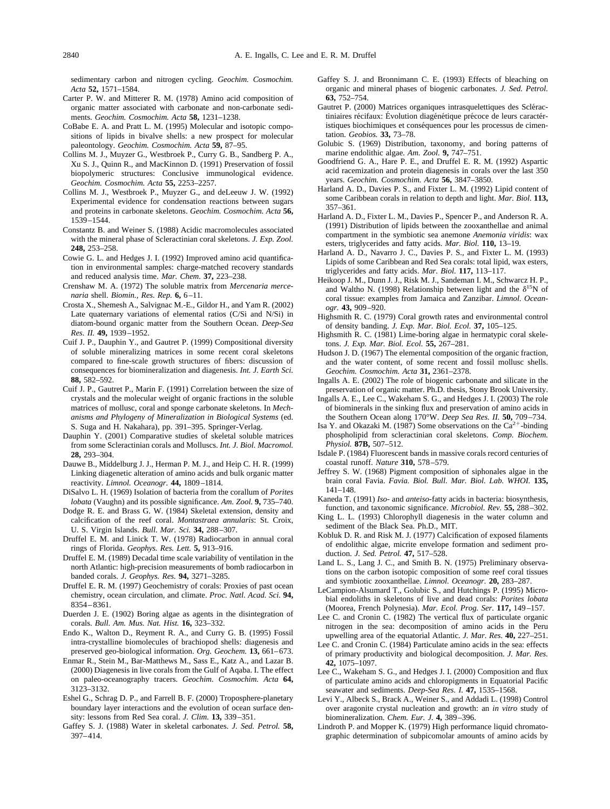<span id="page-14-0"></span>sedimentary carbon and nitrogen cycling. *Geochim. Cosmochim. Acta* **52,** 1571–1584.

- Carter P. W. and Mitterer R. M. (1978) Amino acid composition of organic matter associated with carbonate and non-carbonate sediments. *Geochim. Cosmochim. Acta* **58,** 1231–1238.
- CoBabe E. A. and Pratt L. M. (1995) Molecular and isotopic compositions of lipids in bivalve shells: a new prospect for molecular paleontology. *Geochim. Cosmochim. Acta* **59,** 87–95.
- Collins M. J., Muyzer G., Westbroek P., Curry G. B., Sandberg P. A., Xu S. J., Quinn R., and MacKinnon D. (1991) Preservation of fossil biopolymeric structures: Conclusive immunological evidence. *Geochim. Cosmochim. Acta* **55,** 2253–2257.
- Collins M. J., Westbroek P., Muyzer G., and deLeeuw J. W. (1992) Experimental evidence for condensation reactions between sugars and proteins in carbonate skeletons. *Geochim. Cosmochim. Acta* **56,** 1539–1544.
- Constantz B. and Weiner S. (1988) Acidic macromolecules associated with the mineral phase of Scleractinian coral skeletons. *J. Exp. Zool.* **248,** 253–258.
- Cowie G. L. and Hedges J. I. (1992) Improved amino acid quantification in environmental samples: charge-matched recovery standards and reduced analysis time. *Mar. Chem.* **37,** 223–238.
- Crenshaw M. A. (1972) The soluble matrix from *Mercenaria mercenaria* shell. *Biomin., Res. Rep.* **6,** 6–11.
- Crosta X., Shemesh A., Salvignac M.-E., Gildor H., and Yam R. (2002) Late quaternary variations of elemental ratios (C/Si and N/Si) in diatom-bound organic matter from the Southern Ocean. *Deep-Sea Res. II.* **49,** 1939–1952.
- Cuif J. P., Dauphin Y., and Gautret P. (1999) Compositional diversity of soluble mineralizing matrices in some recent coral skeletons compared to fine-scale growth structures of fibers: discussion of consequences for biomineralization and diagenesis. *Int. J. Earth Sci.* **88,** 582–592.
- Cuif J. P., Gautret P., Marin F. (1991) Correlation between the size of crystals and the molecular weight of organic fractions in the soluble matrices of mollusc, coral and sponge carbonate skeletons. In *Mechanisms and Phylogeny of Mineralization in Biological Systems* (ed. S. Suga and H. Nakahara), pp. 391–395. Springer-Verlag.
- Dauphin Y. (2001) Comparative studies of skeletal soluble matrices from some Scleractinian corals and Molluscs. *Int. J. Biol. Macromol.* **28,** 293–304.
- Dauwe B., Middelburg J. J., Herman P. M. J., and Heip C. H. R. (1999) Linking diagenetic alteration of amino acids and bulk organic matter reactivity. *Limnol. Oceanogr.* **44,** 1809–1814.
- DiSalvo L. H. (1969) Isolation of bacteria from the corallum of *Porites lobata* (Vaughn) and its possible significance. *Am. Zool.* **9,** 735–740.
- Dodge R. E. and Brass G. W. (1984) Skeletal extension, density and calcification of the reef coral. *Montastraea annularis*: St. Croix, U. S. Virgin Islands. *Bull. Mar. Sci.* **34,** 288–307.
- Druffel E. M. and Linick T. W. (1978) Radiocarbon in annual coral rings of Florida. *Geophys. Res. Lett.* **5,** 913–916.
- Druffel E. M. (1989) Decadal time scale variability of ventilation in the north Atlantic: high-precision measurements of bomb radiocarbon in banded corals. *J. Geophys. Res.* **94,** 3271–3285.
- Druffel E. R. M. (1997) Geochemistry of corals: Proxies of past ocean chemistry, ocean circulation, and climate. *Proc. Natl. Acad. Sci.* **94,** 8354–8361.
- Duerden J. E. (1902) Boring algae as agents in the disintegration of corals. *Bull. Am. Mus. Nat. Hist.* **16,** 323–332.
- Endo K., Walton D., Reyment R. A., and Curry G. B. (1995) Fossil intra-crystalline biomolecules of brachiopod shells: diagenesis and preserved geo-biological information. *Org. Geochem.* **13,** 661–673.
- Enmar R., Stein M., Bar-Matthews M., Sass E., Katz A., and Lazar B. (2000) Diagenesis in live corals from the Gulf of Aqaba. I. The effect on paleo-oceanography tracers. *Geochim. Cosmochim. Acta* **64,** 3123–3132.
- Eshel G., Schrag D. P., and Farrell B. F. (2000) Troposphere-planetary boundary layer interactions and the evolution of ocean surface density: lessons from Red Sea coral. *J. Clim.* **13,** 339–351.
- Gaffey S. J. (1988) Water in skeletal carbonates. *J. Sed. Petrol.* **58,** 397–414.
- Gaffey S. J. and Bronnimann C. E. (1993) Effects of bleaching on organic and mineral phases of biogenic carbonates. *J. Sed. Petrol.* **63,** 752–754.
- Gautret P. (2000) Matrices organiques intrasquelettiques des Scléractiniaires récifaux: Évolution diagénétique précoce de leurs caractéristiques biochimiques et conséquences pour les processus de cimentation. *Geobios.* **33,** 73–78.
- Golubic S. (1969) Distribution, taxonomy, and boring patterns of marine endolithic algae. *Am. Zool.* **9,** 747–751.
- Goodfriend G. A., Hare P. E., and Druffel E. R. M. (1992) Aspartic acid racemization and protein diagenesis in corals over the last 350 years. *Geochim. Cosmochim. Acta* **56,** 3847–3850.
- Harland A. D., Davies P. S., and Fixter L. M. (1992) Lipid content of some Caribbean corals in relation to depth and light. *Mar. Biol.* **113,** 357–361.
- Harland A. D., Fixter L. M., Davies P., Spencer P., and Anderson R. A. (1991) Distribution of lipids between the zooxanthellae and animal compartment in the symbiotic sea anemone *Anemonia viridis*: wax esters, triglycerides and fatty acids. *Mar. Biol.* **110,** 13–19.
- Harland A. D., Navarro J. C., Davies P. S., and Fixter L. M. (1993) Lipids of some Caribbean and Red Sea corals: total lipid, wax esters, triglycerides and fatty acids. *Mar. Biol.* **117,** 113–117.
- Heikoop J. M., Dunn J. J., Risk M. J., Sandeman I. M., Schwarcz H. P., and Waltho N. (1998) Relationship between light and the  $\delta^{15}N$  of coral tissue: examples from Jamaica and Zanzibar. *Limnol. Oceanogr.* **43,** 909–920.
- Highsmith R. C. (1979) Coral growth rates and environmental control of density banding. *J. Exp. Mar. Biol. Ecol.* **37,** 105–125.
- Highsmith R. C. (1981) Lime-boring algae in hermatypic coral skeletons. *J. Exp. Mar. Biol. Ecol.* **55,** 267–281.
- Hudson J. D. (1967) The elemental composition of the organic fraction, and the water content, of some recent and fossil mollusc shells. *Geochim. Cosmochim. Acta* **31,** 2361–2378.
- Ingalls A. E. (2002) The role of biogenic carbonate and silicate in the preservation of organic matter. Ph.D. thesis, Stony Brook University.
- Ingalls A. E., Lee C., Wakeham S. G., and Hedges J. I. (2003) The role of biominerals in the sinking flux and preservation of amino acids in the Southern Ocean along 170°W. *Deep Sea Res. II.* **50,** 709–734.
- Isa Y. and Okazaki M. (1987) Some observations on the  $Ca^{2+}$ -binding phospholipid from scleractinian coral skeletons. *Comp. Biochem. Physiol.* **87B,** 507–512.
- Isdale P. (1984) Fluorescent bands in massive corals record centuries of coastal runoff. *Nature* **310,** 578–579.
- Jeffrey S. W. (1968) Pigment composition of siphonales algae in the brain coral Favia. *Favia. Biol. Bull. Mar. Biol. Lab. WHOI.* **135,** 141–148.
- Kaneda T. (1991) *Iso* and *anteiso*-fatty acids in bacteria: biosynthesis, function, and taxonomic significance. *Microbiol. Rev.* **55,** 288–302.
- King L. L. (1993) Chlorophyll diagenesis in the water column and sediment of the Black Sea. Ph.D., MIT.
- Kobluk D. R. and Risk M. J. (1977) Calcification of exposed filaments of endolithic algae, micrite envelope formation and sediment production. *J. Sed. Petrol.* **47,** 517–528.
- Land L. S., Lang J. C., and Smith B. N. (1975) Preliminary observations on the carbon isotopic composition of some reef coral tissues and symbiotic zooxanthellae. *Limnol. Oceanogr.* **20,** 283–287.
- LeCampion-Alsumard T., Golubic S., and Hutchings P. (1995) Microbial endoliths in skeletons of live and dead corals: *Porites lobata* (Moorea, French Polynesia). *Mar. Ecol. Prog. Ser.* **117,** 149–157.
- Lee C. and Cronin C. (1982) The vertical flux of particulate organic nitrogen in the sea: decomposition of amino acids in the Peru upwelling area of the equatorial Atlantic. *J. Mar. Res.* **40,** 227–251.
- Lee C. and Cronin C. (1984) Particulate amino acids in the sea: effects of primary productivity and biological decomposition. *J. Mar. Res.* **42,** 1075–1097.
- Lee C., Wakeham S. G., and Hedges J. I. (2000) Composition and flux of particulate amino acids and chloropigments in Equatorial Pacific seawater and sediments. *Deep-Sea Res. I.* **47,** 1535–1568.
- Levi Y., Albeck S., Brack A., Weiner S., and Addadi L. (1998) Control over aragonite crystal nucleation and growth: an *in vitro* study of biomineralization. *Chem. Eur. J.* **4,** 389–396.
- Lindroth P. and Mopper K. (1979) High performance liquid chromatographic determination of subpicomolar amounts of amino acids by